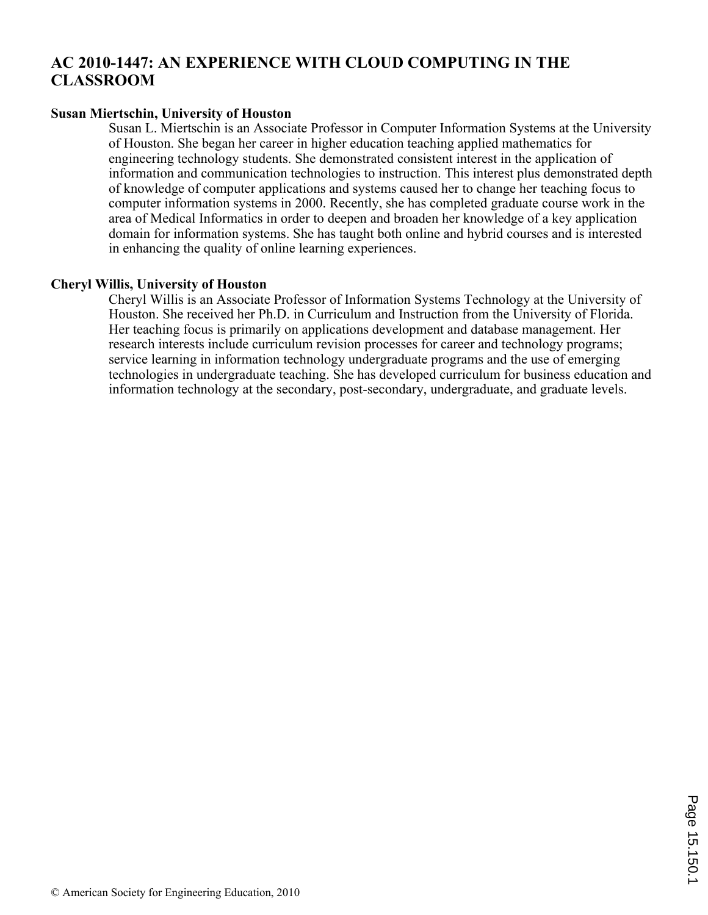# **AC 2010-1447: AN EXPERIENCE WITH CLOUD COMPUTING IN THE CLASSROOM**

# **Susan Miertschin, University of Houston**

Susan L. Miertschin is an Associate Professor in Computer Information Systems at the University of Houston. She began her career in higher education teaching applied mathematics for engineering technology students. She demonstrated consistent interest in the application of information and communication technologies to instruction. This interest plus demonstrated depth of knowledge of computer applications and systems caused her to change her teaching focus to computer information systems in 2000. Recently, she has completed graduate course work in the area of Medical Informatics in order to deepen and broaden her knowledge of a key application domain for information systems. She has taught both online and hybrid courses and is interested in enhancing the quality of online learning experiences.

# **Cheryl Willis, University of Houston**

Cheryl Willis is an Associate Professor of Information Systems Technology at the University of Houston. She received her Ph.D. in Curriculum and Instruction from the University of Florida. Her teaching focus is primarily on applications development and database management. Her research interests include curriculum revision processes for career and technology programs; service learning in information technology undergraduate programs and the use of emerging technologies in undergraduate teaching. She has developed curriculum for business education and information technology at the secondary, post-secondary, undergraduate, and graduate levels.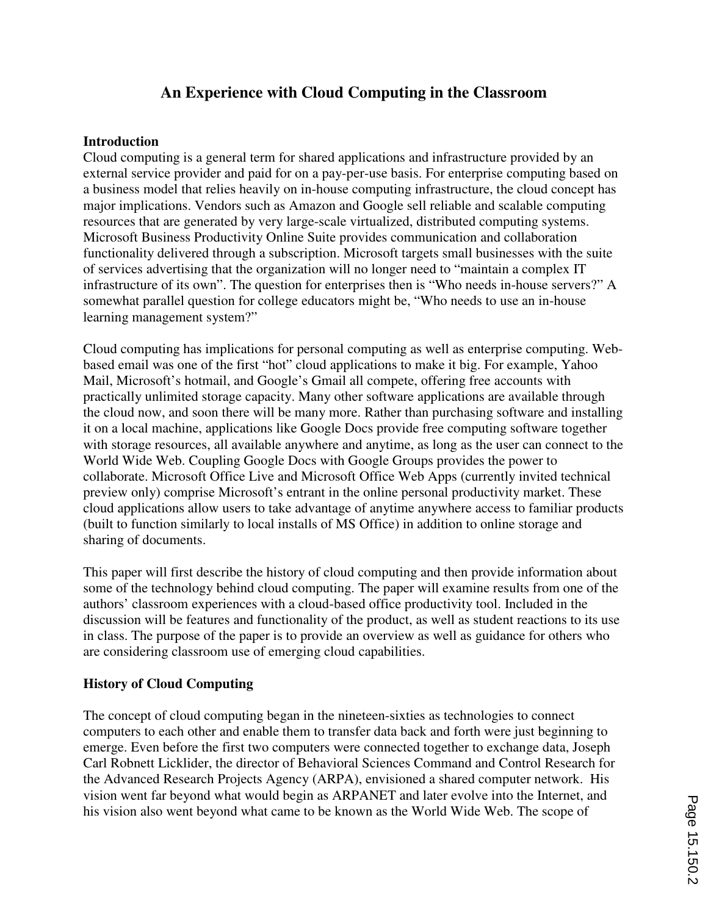# **An Experience with Cloud Computing in the Classroom**

#### **Introduction**

Cloud computing is a general term for shared applications and infrastructure provided by an external service provider and paid for on a pay-per-use basis. For enterprise computing based on a business model that relies heavily on in-house computing infrastructure, the cloud concept has major implications. Vendors such as Amazon and Google sell reliable and scalable computing resources that are generated by very large-scale virtualized, distributed computing systems. Microsoft Business Productivity Online Suite provides communication and collaboration functionality delivered through a subscription. Microsoft targets small businesses with the suite of services advertising that the organization will no longer need to "maintain a complex IT infrastructure of its own". The question for enterprises then is "Who needs in-house servers?" A somewhat parallel question for college educators might be, "Who needs to use an in-house learning management system?"

Cloud computing has implications for personal computing as well as enterprise computing. Webbased email was one of the first "hot" cloud applications to make it big. For example, Yahoo Mail, Microsoft's hotmail, and Google's Gmail all compete, offering free accounts with practically unlimited storage capacity. Many other software applications are available through the cloud now, and soon there will be many more. Rather than purchasing software and installing it on a local machine, applications like Google Docs provide free computing software together with storage resources, all available anywhere and anytime, as long as the user can connect to the World Wide Web. Coupling Google Docs with Google Groups provides the power to collaborate. Microsoft Office Live and Microsoft Office Web Apps (currently invited technical preview only) comprise Microsoft's entrant in the online personal productivity market. These cloud applications allow users to take advantage of anytime anywhere access to familiar products (built to function similarly to local installs of MS Office) in addition to online storage and sharing of documents.

This paper will first describe the history of cloud computing and then provide information about some of the technology behind cloud computing. The paper will examine results from one of the authors' classroom experiences with a cloud-based office productivity tool. Included in the discussion will be features and functionality of the product, as well as student reactions to its use in class. The purpose of the paper is to provide an overview as well as guidance for others who are considering classroom use of emerging cloud capabilities.

## **History of Cloud Computing**

The concept of cloud computing began in the nineteen-sixties as technologies to connect computers to each other and enable them to transfer data back and forth were just beginning to emerge. Even before the first two computers were connected together to exchange data, Joseph Carl Robnett Licklider, the director of Behavioral Sciences Command and Control Research for the Advanced Research Projects Agency (ARPA), envisioned a shared computer network. His vision went far beyond what would begin as ARPANET and later evolve into the Internet, and his vision also went beyond what came to be known as the World Wide Web. The scope of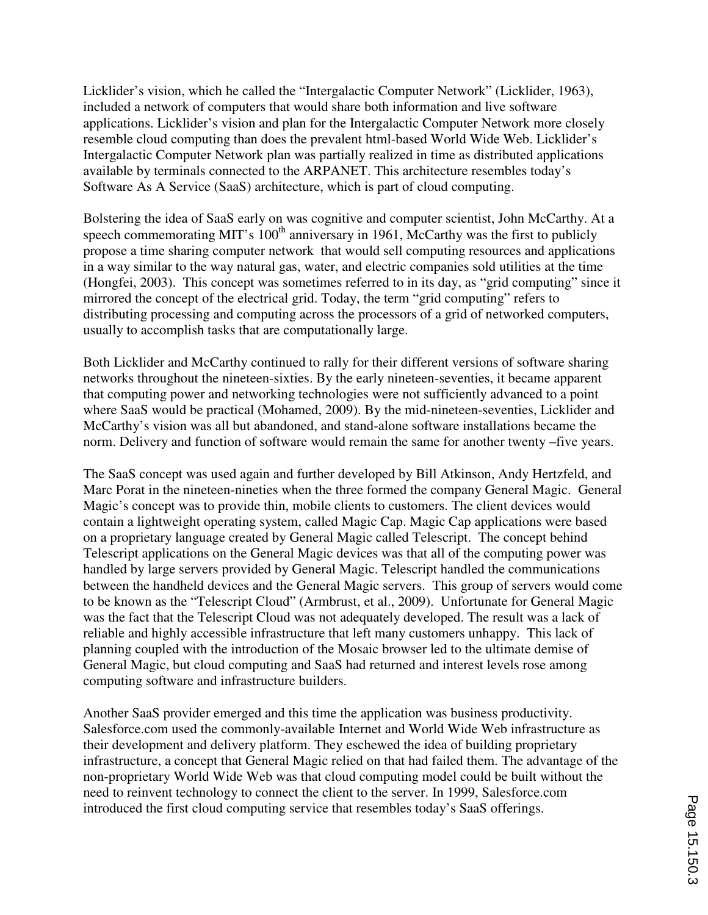Licklider's vision, which he called the "Intergalactic Computer Network" (Licklider, 1963), included a network of computers that would share both information and live software applications. Licklider's vision and plan for the Intergalactic Computer Network more closely resemble cloud computing than does the prevalent html-based World Wide Web. Licklider's Intergalactic Computer Network plan was partially realized in time as distributed applications available by terminals connected to the ARPANET. This architecture resembles today's Software As A Service (SaaS) architecture, which is part of cloud computing.

Bolstering the idea of SaaS early on was cognitive and computer scientist, John McCarthy. At a speech commemorating MIT's  $100<sup>th</sup>$  anniversary in 1961, McCarthy was the first to publicly propose a time sharing computer network that would sell computing resources and applications in a way similar to the way natural gas, water, and electric companies sold utilities at the time (Hongfei, 2003). This concept was sometimes referred to in its day, as "grid computing" since it mirrored the concept of the electrical grid. Today, the term "grid computing" refers to distributing processing and computing across the processors of a grid of networked computers, usually to accomplish tasks that are computationally large.

Both Licklider and McCarthy continued to rally for their different versions of software sharing networks throughout the nineteen-sixties. By the early nineteen-seventies, it became apparent that computing power and networking technologies were not sufficiently advanced to a point where SaaS would be practical (Mohamed, 2009). By the mid-nineteen-seventies, Licklider and McCarthy's vision was all but abandoned, and stand-alone software installations became the norm. Delivery and function of software would remain the same for another twenty –five years.

The SaaS concept was used again and further developed by Bill Atkinson, Andy Hertzfeld, and Marc Porat in the nineteen-nineties when the three formed the company General Magic. General Magic's concept was to provide thin, mobile clients to customers. The client devices would contain a lightweight operating system, called Magic Cap. Magic Cap applications were based on a proprietary language created by General Magic called Telescript. The concept behind Telescript applications on the General Magic devices was that all of the computing power was handled by large servers provided by General Magic. Telescript handled the communications between the handheld devices and the General Magic servers. This group of servers would come to be known as the "Telescript Cloud" (Armbrust, et al., 2009). Unfortunate for General Magic was the fact that the Telescript Cloud was not adequately developed. The result was a lack of reliable and highly accessible infrastructure that left many customers unhappy. This lack of planning coupled with the introduction of the Mosaic browser led to the ultimate demise of General Magic, but cloud computing and SaaS had returned and interest levels rose among computing software and infrastructure builders.

Another SaaS provider emerged and this time the application was business productivity. Salesforce.com used the commonly-available Internet and World Wide Web infrastructure as their development and delivery platform. They eschewed the idea of building proprietary infrastructure, a concept that General Magic relied on that had failed them. The advantage of the non-proprietary World Wide Web was that cloud computing model could be built without the need to reinvent technology to connect the client to the server. In 1999, Salesforce.com introduced the first cloud computing service that resembles today's SaaS offerings.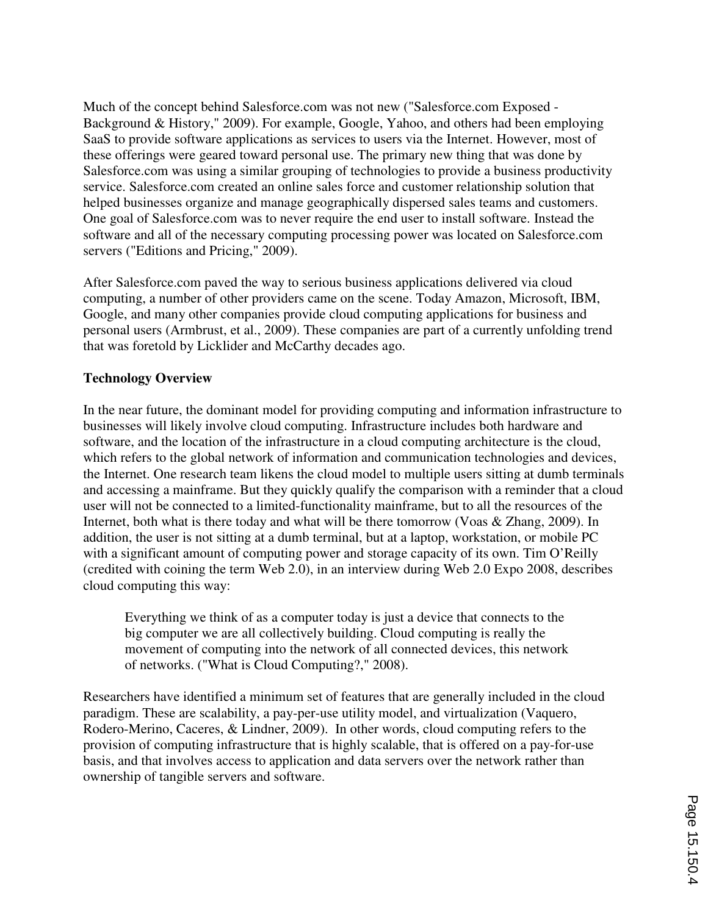Much of the concept behind Salesforce.com was not new ("Salesforce.com Exposed - Background & History," 2009). For example, Google, Yahoo, and others had been employing SaaS to provide software applications as services to users via the Internet. However, most of these offerings were geared toward personal use. The primary new thing that was done by Salesforce.com was using a similar grouping of technologies to provide a business productivity service. Salesforce.com created an online sales force and customer relationship solution that helped businesses organize and manage geographically dispersed sales teams and customers. One goal of Salesforce.com was to never require the end user to install software. Instead the software and all of the necessary computing processing power was located on Salesforce.com servers ("Editions and Pricing," 2009).

After Salesforce.com paved the way to serious business applications delivered via cloud computing, a number of other providers came on the scene. Today Amazon, Microsoft, IBM, Google, and many other companies provide cloud computing applications for business and personal users (Armbrust, et al., 2009). These companies are part of a currently unfolding trend that was foretold by Licklider and McCarthy decades ago.

# **Technology Overview**

In the near future, the dominant model for providing computing and information infrastructure to businesses will likely involve cloud computing. Infrastructure includes both hardware and software, and the location of the infrastructure in a cloud computing architecture is the cloud, which refers to the global network of information and communication technologies and devices, the Internet. One research team likens the cloud model to multiple users sitting at dumb terminals and accessing a mainframe. But they quickly qualify the comparison with a reminder that a cloud user will not be connected to a limited-functionality mainframe, but to all the resources of the Internet, both what is there today and what will be there tomorrow (Voas & Zhang, 2009). In addition, the user is not sitting at a dumb terminal, but at a laptop, workstation, or mobile PC with a significant amount of computing power and storage capacity of its own. Tim O'Reilly (credited with coining the term Web 2.0), in an interview during Web 2.0 Expo 2008, describes cloud computing this way:

Everything we think of as a computer today is just a device that connects to the big computer we are all collectively building. Cloud computing is really the movement of computing into the network of all connected devices, this network of networks. ("What is Cloud Computing?," 2008).

Researchers have identified a minimum set of features that are generally included in the cloud paradigm. These are scalability, a pay-per-use utility model, and virtualization (Vaquero, Rodero-Merino, Caceres, & Lindner, 2009). In other words, cloud computing refers to the provision of computing infrastructure that is highly scalable, that is offered on a pay-for-use basis, and that involves access to application and data servers over the network rather than ownership of tangible servers and software.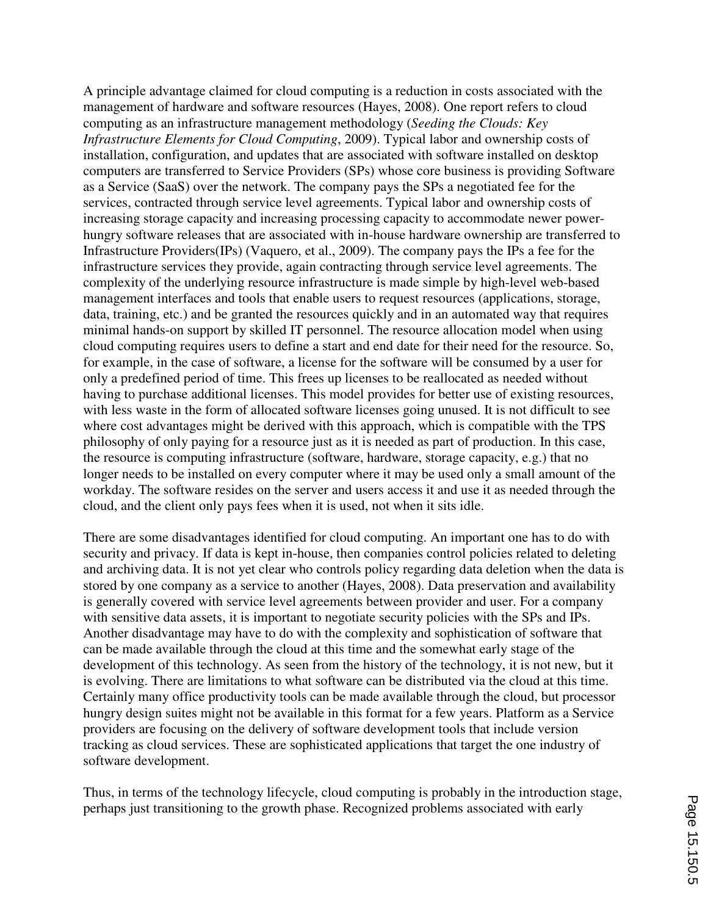A principle advantage claimed for cloud computing is a reduction in costs associated with the management of hardware and software resources (Hayes, 2008). One report refers to cloud computing as an infrastructure management methodology (*Seeding the Clouds: Key Infrastructure Elements for Cloud Computing*, 2009). Typical labor and ownership costs of installation, configuration, and updates that are associated with software installed on desktop computers are transferred to Service Providers (SPs) whose core business is providing Software as a Service (SaaS) over the network. The company pays the SPs a negotiated fee for the services, contracted through service level agreements. Typical labor and ownership costs of increasing storage capacity and increasing processing capacity to accommodate newer powerhungry software releases that are associated with in-house hardware ownership are transferred to Infrastructure Providers(IPs) (Vaquero, et al., 2009). The company pays the IPs a fee for the infrastructure services they provide, again contracting through service level agreements. The complexity of the underlying resource infrastructure is made simple by high-level web-based management interfaces and tools that enable users to request resources (applications, storage, data, training, etc.) and be granted the resources quickly and in an automated way that requires minimal hands-on support by skilled IT personnel. The resource allocation model when using cloud computing requires users to define a start and end date for their need for the resource. So, for example, in the case of software, a license for the software will be consumed by a user for only a predefined period of time. This frees up licenses to be reallocated as needed without having to purchase additional licenses. This model provides for better use of existing resources, with less waste in the form of allocated software licenses going unused. It is not difficult to see where cost advantages might be derived with this approach, which is compatible with the TPS philosophy of only paying for a resource just as it is needed as part of production. In this case, the resource is computing infrastructure (software, hardware, storage capacity, e.g.) that no longer needs to be installed on every computer where it may be used only a small amount of the workday. The software resides on the server and users access it and use it as needed through the cloud, and the client only pays fees when it is used, not when it sits idle.

There are some disadvantages identified for cloud computing. An important one has to do with security and privacy. If data is kept in-house, then companies control policies related to deleting and archiving data. It is not yet clear who controls policy regarding data deletion when the data is stored by one company as a service to another (Hayes, 2008). Data preservation and availability is generally covered with service level agreements between provider and user. For a company with sensitive data assets, it is important to negotiate security policies with the SPs and IPs. Another disadvantage may have to do with the complexity and sophistication of software that can be made available through the cloud at this time and the somewhat early stage of the development of this technology. As seen from the history of the technology, it is not new, but it is evolving. There are limitations to what software can be distributed via the cloud at this time. Certainly many office productivity tools can be made available through the cloud, but processor hungry design suites might not be available in this format for a few years. Platform as a Service providers are focusing on the delivery of software development tools that include version tracking as cloud services. These are sophisticated applications that target the one industry of software development.

Thus, in terms of the technology lifecycle, cloud computing is probably in the introduction stage, perhaps just transitioning to the growth phase. Recognized problems associated with early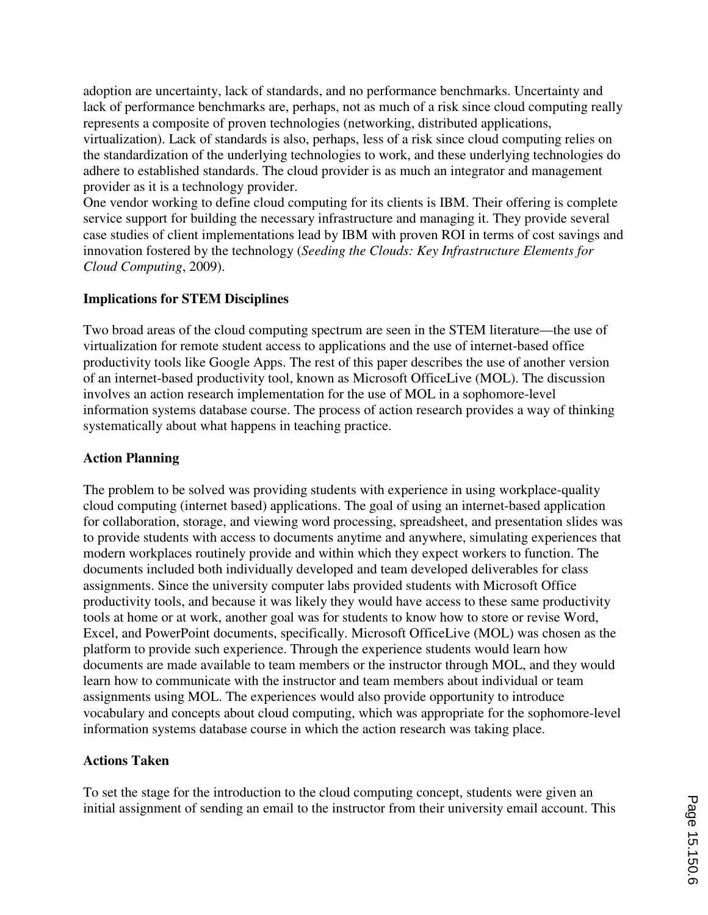adoption are uncertainty, lack of standards, and no performance benchmarks. Uncertainty and lack of performance benchmarks are, perhaps, not as much of a risk since cloud computing really represents a composite of proven technologies (networking, distributed applications, virtualization). Lack of standards is also, perhaps, less of a risk since cloud computing relies on the standardization of the underlying technologies to work, and these underlying technologies do adhere to established standards. The cloud provider is as much an integrator and management provider as it is a technology provider.

One vendor working to define cloud computing for its clients is IBM. Their offering is complete service support for building the necessary infrastructure and managing it. They provide several case studies of client implementations lead by IBM with proven ROI in terms of cost savings and innovation fostered by the technology (*Seeding the Clouds: Key Infrastructure Elements for Cloud Computing*, 2009).

# **Implications for STEM Disciplines**

Two broad areas of the cloud computing spectrum are seen in the STEM literature—the use of virtualization for remote student access to applications and the use of internet-based office productivity tools like Google Apps. The rest of this paper describes the use of another version of an internet-based productivity tool, known as Microsoft OfficeLive (MOL). The discussion involves an action research implementation for the use of MOL in a sophomore-level information systems database course. The process of action research provides a way of thinking systematically about what happens in teaching practice.

## **Action Planning**

The problem to be solved was providing students with experience in using workplace-quality cloud computing (internet based) applications. The goal of using an internet-based application for collaboration, storage, and viewing word processing, spreadsheet, and presentation slides was to provide students with access to documents anytime and anywhere, simulating experiences that modern workplaces routinely provide and within which they expect workers to function. The documents included both individually developed and team developed deliverables for class assignments. Since the university computer labs provided students with Microsoft Office productivity tools, and because it was likely they would have access to these same productivity tools at home or at work, another goal was for students to know how to store or revise Word, Excel, and PowerPoint documents, specifically. Microsoft OfficeLive (MOL) was chosen as the platform to provide such experience. Through the experience students would learn how documents are made available to team members or the instructor through MOL, and they would learn how to communicate with the instructor and team members about individual or team assignments using MOL. The experiences would also provide opportunity to introduce vocabulary and concepts about cloud computing, which was appropriate for the sophomore-level information systems database course in which the action research was taking place.

## **Actions Taken**

To set the stage for the introduction to the cloud computing concept, students were given an initial assignment of sending an email to the instructor from their university email account. This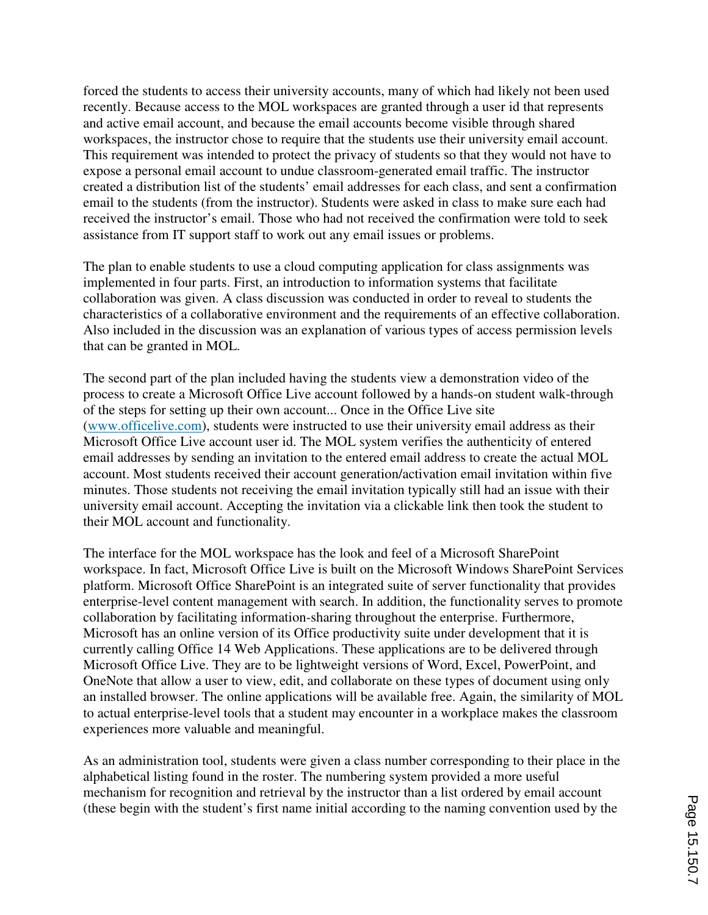forced the students to access their university accounts, many of which had likely not been used recently. Because access to the MOL workspaces are granted through a user id that represents and active email account, and because the email accounts become visible through shared workspaces, the instructor chose to require that the students use their university email account. This requirement was intended to protect the privacy of students so that they would not have to expose a personal email account to undue classroom-generated email traffic. The instructor created a distribution list of the students' email addresses for each class, and sent a confirmation email to the students (from the instructor). Students were asked in class to make sure each had received the instructor's email. Those who had not received the confirmation were told to seek assistance from IT support staff to work out any email issues or problems.

The plan to enable students to use a cloud computing application for class assignments was implemented in four parts. First, an introduction to information systems that facilitate collaboration was given. A class discussion was conducted in order to reveal to students the characteristics of a collaborative environment and the requirements of an effective collaboration. Also included in the discussion was an explanation of various types of access permission levels that can be granted in MOL.

The second part of the plan included having the students view a demonstration video of the process to create a Microsoft Office Live account followed by a hands-on student walk-through of the steps for setting up their own account... Once in the Office Live site (www.officelive.com), students were instructed to use their university email address as their Microsoft Office Live account user id. The MOL system verifies the authenticity of entered email addresses by sending an invitation to the entered email address to create the actual MOL account. Most students received their account generation/activation email invitation within five minutes. Those students not receiving the email invitation typically still had an issue with their university email account. Accepting the invitation via a clickable link then took the student to their MOL account and functionality.

The interface for the MOL workspace has the look and feel of a Microsoft SharePoint workspace. In fact, Microsoft Office Live is built on the Microsoft Windows SharePoint Services platform. Microsoft Office SharePoint is an integrated suite of server functionality that provides enterprise-level content management with search. In addition, the functionality serves to promote collaboration by facilitating information-sharing throughout the enterprise. Furthermore, Microsoft has an online version of its Office productivity suite under development that it is currently calling Office 14 Web Applications. These applications are to be delivered through Microsoft Office Live. They are to be lightweight versions of Word, Excel, PowerPoint, and OneNote that allow a user to view, edit, and collaborate on these types of document using only an installed browser. The online applications will be available free. Again, the similarity of MOL to actual enterprise-level tools that a student may encounter in a workplace makes the classroom experiences more valuable and meaningful.

As an administration tool, students were given a class number corresponding to their place in the alphabetical listing found in the roster. The numbering system provided a more useful mechanism for recognition and retrieval by the instructor than a list ordered by email account (these begin with the student's first name initial according to the naming convention used by the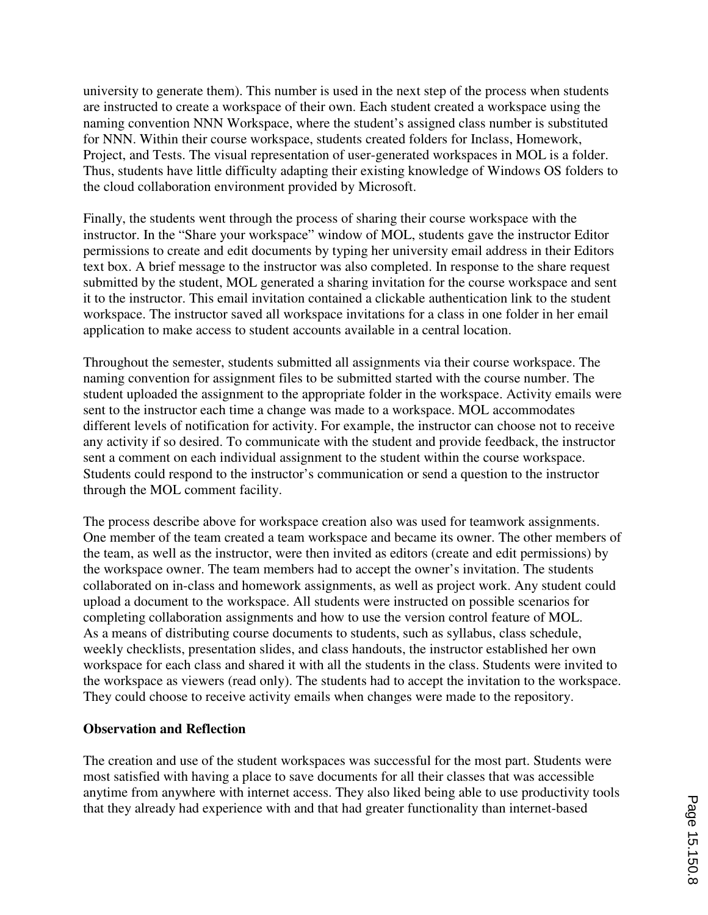university to generate them). This number is used in the next step of the process when students are instructed to create a workspace of their own. Each student created a workspace using the naming convention NNN Workspace, where the student's assigned class number is substituted for NNN. Within their course workspace, students created folders for Inclass, Homework, Project, and Tests. The visual representation of user-generated workspaces in MOL is a folder. Thus, students have little difficulty adapting their existing knowledge of Windows OS folders to the cloud collaboration environment provided by Microsoft.

Finally, the students went through the process of sharing their course workspace with the instructor. In the "Share your workspace" window of MOL, students gave the instructor Editor permissions to create and edit documents by typing her university email address in their Editors text box. A brief message to the instructor was also completed. In response to the share request submitted by the student, MOL generated a sharing invitation for the course workspace and sent it to the instructor. This email invitation contained a clickable authentication link to the student workspace. The instructor saved all workspace invitations for a class in one folder in her email application to make access to student accounts available in a central location.

Throughout the semester, students submitted all assignments via their course workspace. The naming convention for assignment files to be submitted started with the course number. The student uploaded the assignment to the appropriate folder in the workspace. Activity emails were sent to the instructor each time a change was made to a workspace. MOL accommodates different levels of notification for activity. For example, the instructor can choose not to receive any activity if so desired. To communicate with the student and provide feedback, the instructor sent a comment on each individual assignment to the student within the course workspace. Students could respond to the instructor's communication or send a question to the instructor through the MOL comment facility.

The process describe above for workspace creation also was used for teamwork assignments. One member of the team created a team workspace and became its owner. The other members of the team, as well as the instructor, were then invited as editors (create and edit permissions) by the workspace owner. The team members had to accept the owner's invitation. The students collaborated on in-class and homework assignments, as well as project work. Any student could upload a document to the workspace. All students were instructed on possible scenarios for completing collaboration assignments and how to use the version control feature of MOL. As a means of distributing course documents to students, such as syllabus, class schedule, weekly checklists, presentation slides, and class handouts, the instructor established her own workspace for each class and shared it with all the students in the class. Students were invited to the workspace as viewers (read only). The students had to accept the invitation to the workspace. They could choose to receive activity emails when changes were made to the repository.

#### **Observation and Reflection**

The creation and use of the student workspaces was successful for the most part. Students were most satisfied with having a place to save documents for all their classes that was accessible anytime from anywhere with internet access. They also liked being able to use productivity tools that they already had experience with and that had greater functionality than internet-based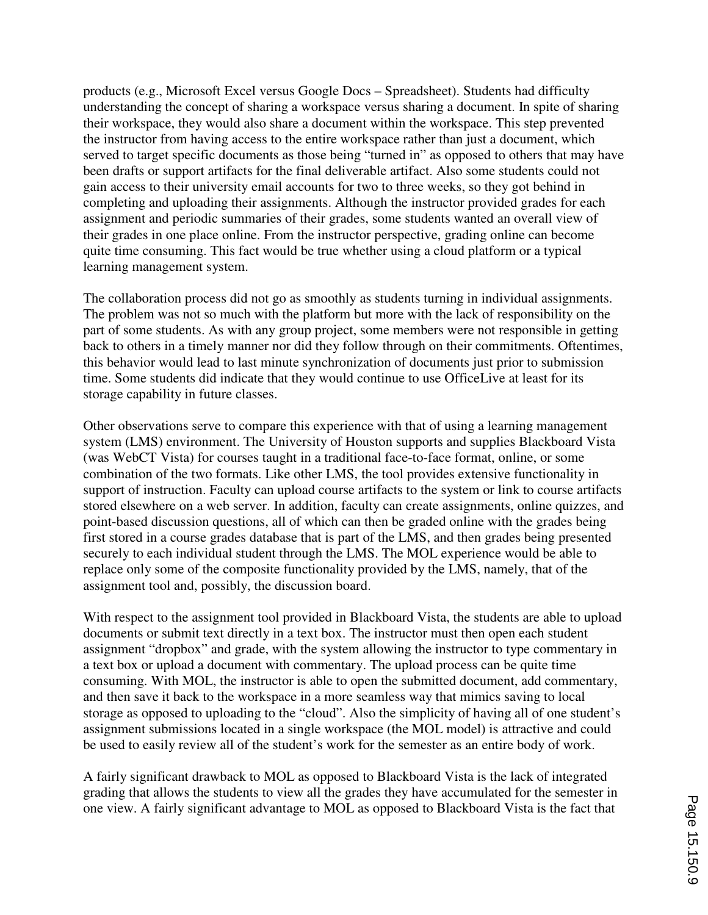products (e.g., Microsoft Excel versus Google Docs – Spreadsheet). Students had difficulty understanding the concept of sharing a workspace versus sharing a document. In spite of sharing their workspace, they would also share a document within the workspace. This step prevented the instructor from having access to the entire workspace rather than just a document, which served to target specific documents as those being "turned in" as opposed to others that may have been drafts or support artifacts for the final deliverable artifact. Also some students could not gain access to their university email accounts for two to three weeks, so they got behind in completing and uploading their assignments. Although the instructor provided grades for each assignment and periodic summaries of their grades, some students wanted an overall view of their grades in one place online. From the instructor perspective, grading online can become quite time consuming. This fact would be true whether using a cloud platform or a typical learning management system.

The collaboration process did not go as smoothly as students turning in individual assignments. The problem was not so much with the platform but more with the lack of responsibility on the part of some students. As with any group project, some members were not responsible in getting back to others in a timely manner nor did they follow through on their commitments. Oftentimes, this behavior would lead to last minute synchronization of documents just prior to submission time. Some students did indicate that they would continue to use OfficeLive at least for its storage capability in future classes.

Other observations serve to compare this experience with that of using a learning management system (LMS) environment. The University of Houston supports and supplies Blackboard Vista (was WebCT Vista) for courses taught in a traditional face-to-face format, online, or some combination of the two formats. Like other LMS, the tool provides extensive functionality in support of instruction. Faculty can upload course artifacts to the system or link to course artifacts stored elsewhere on a web server. In addition, faculty can create assignments, online quizzes, and point-based discussion questions, all of which can then be graded online with the grades being first stored in a course grades database that is part of the LMS, and then grades being presented securely to each individual student through the LMS. The MOL experience would be able to replace only some of the composite functionality provided by the LMS, namely, that of the assignment tool and, possibly, the discussion board.

With respect to the assignment tool provided in Blackboard Vista, the students are able to upload documents or submit text directly in a text box. The instructor must then open each student assignment "dropbox" and grade, with the system allowing the instructor to type commentary in a text box or upload a document with commentary. The upload process can be quite time consuming. With MOL, the instructor is able to open the submitted document, add commentary, and then save it back to the workspace in a more seamless way that mimics saving to local storage as opposed to uploading to the "cloud". Also the simplicity of having all of one student's assignment submissions located in a single workspace (the MOL model) is attractive and could be used to easily review all of the student's work for the semester as an entire body of work.

A fairly significant drawback to MOL as opposed to Blackboard Vista is the lack of integrated grading that allows the students to view all the grades they have accumulated for the semester in one view. A fairly significant advantage to MOL as opposed to Blackboard Vista is the fact that